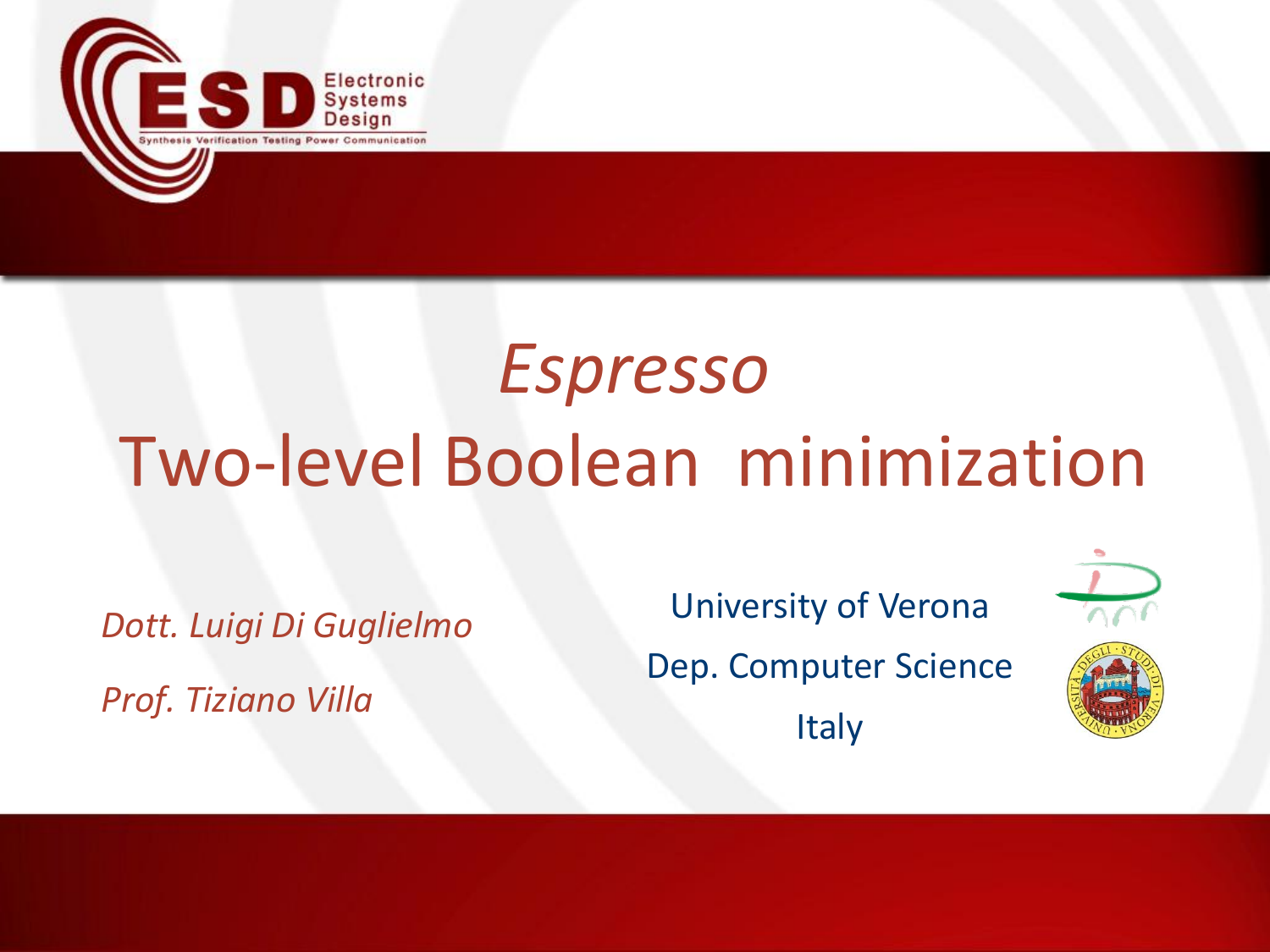

# *Espresso* Two-level Boolean minimization

*Dott. Luigi Di Guglielmo Prof. Tiziano Villa*

University of Verona Dep. Computer Science **Italy** 

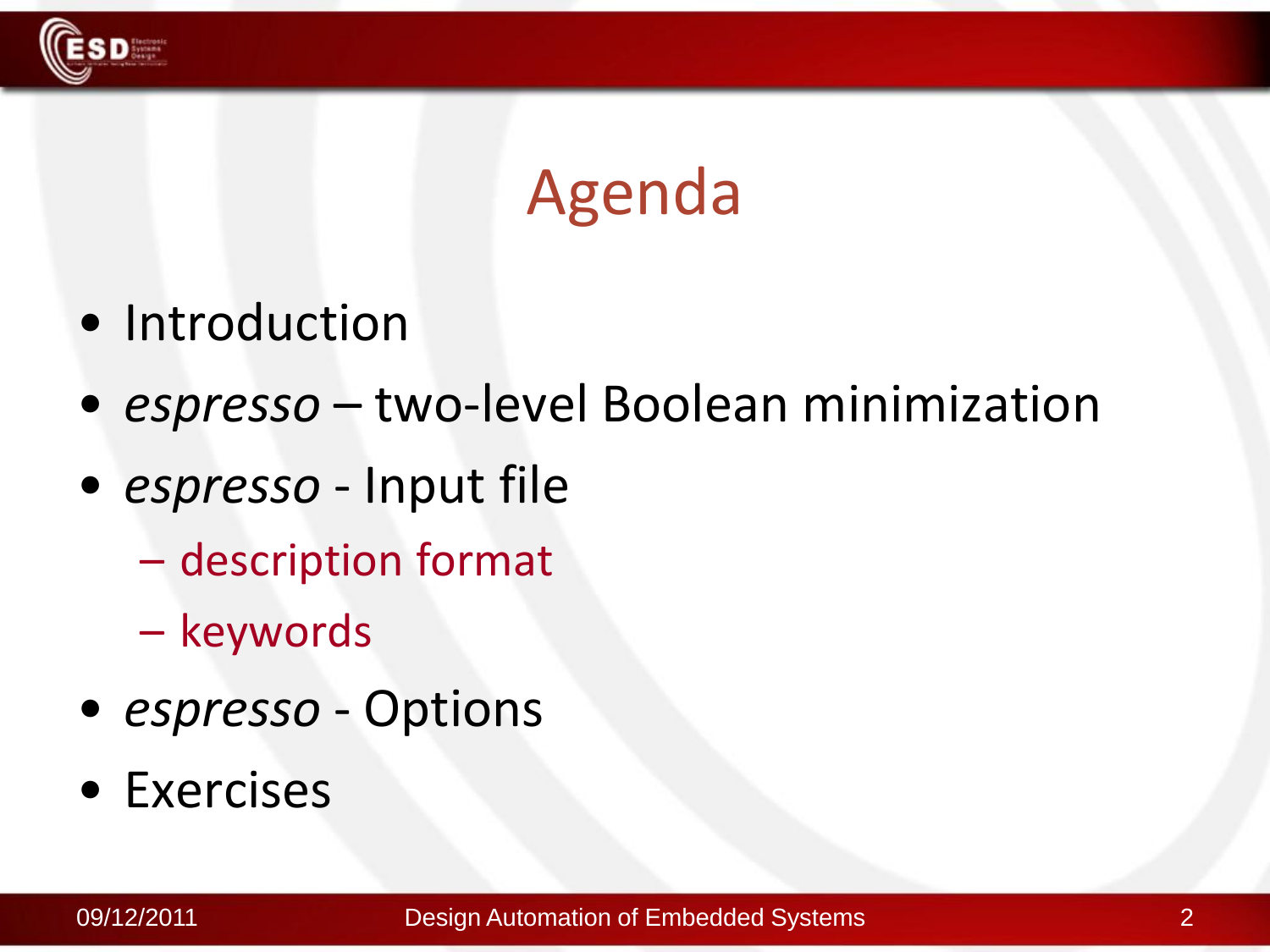

### Agenda

- Introduction
- *espresso* two-level Boolean minimization
- *espresso* Input file
	- description format
	- keywords
- *espresso* Options
- Exercises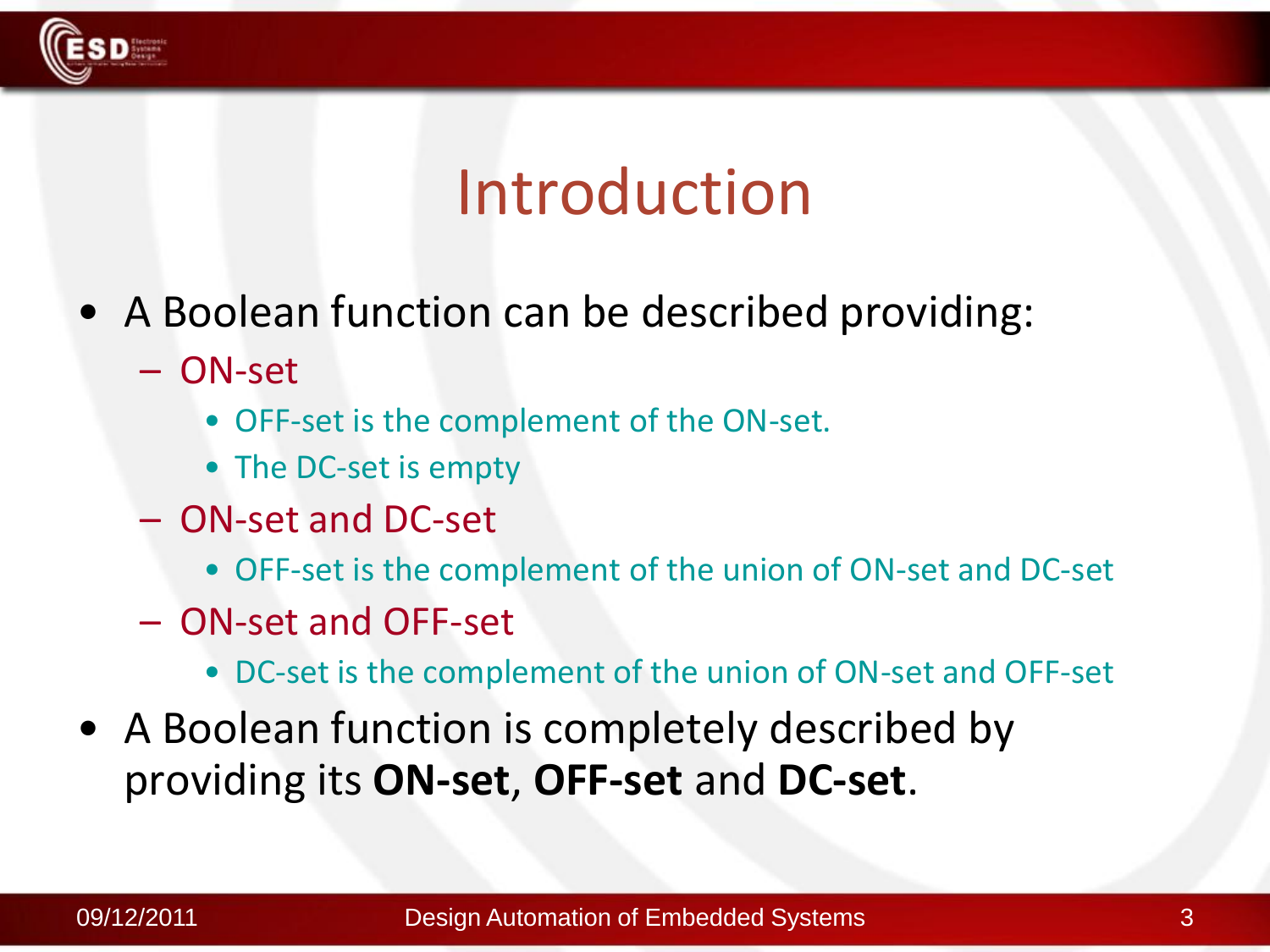

### Introduction

- A Boolean function can be described providing:
	- ON-set
		- OFF-set is the complement of the ON-set.
		- The DC-set is empty
	- ON-set and DC-set
		- OFF-set is the complement of the union of ON-set and DC-set
	- ON-set and OFF-set
		- DC-set is the complement of the union of ON-set and OFF-set
- A Boolean function is completely described by providing its **ON-set**, **OFF-set** and **DC-set**.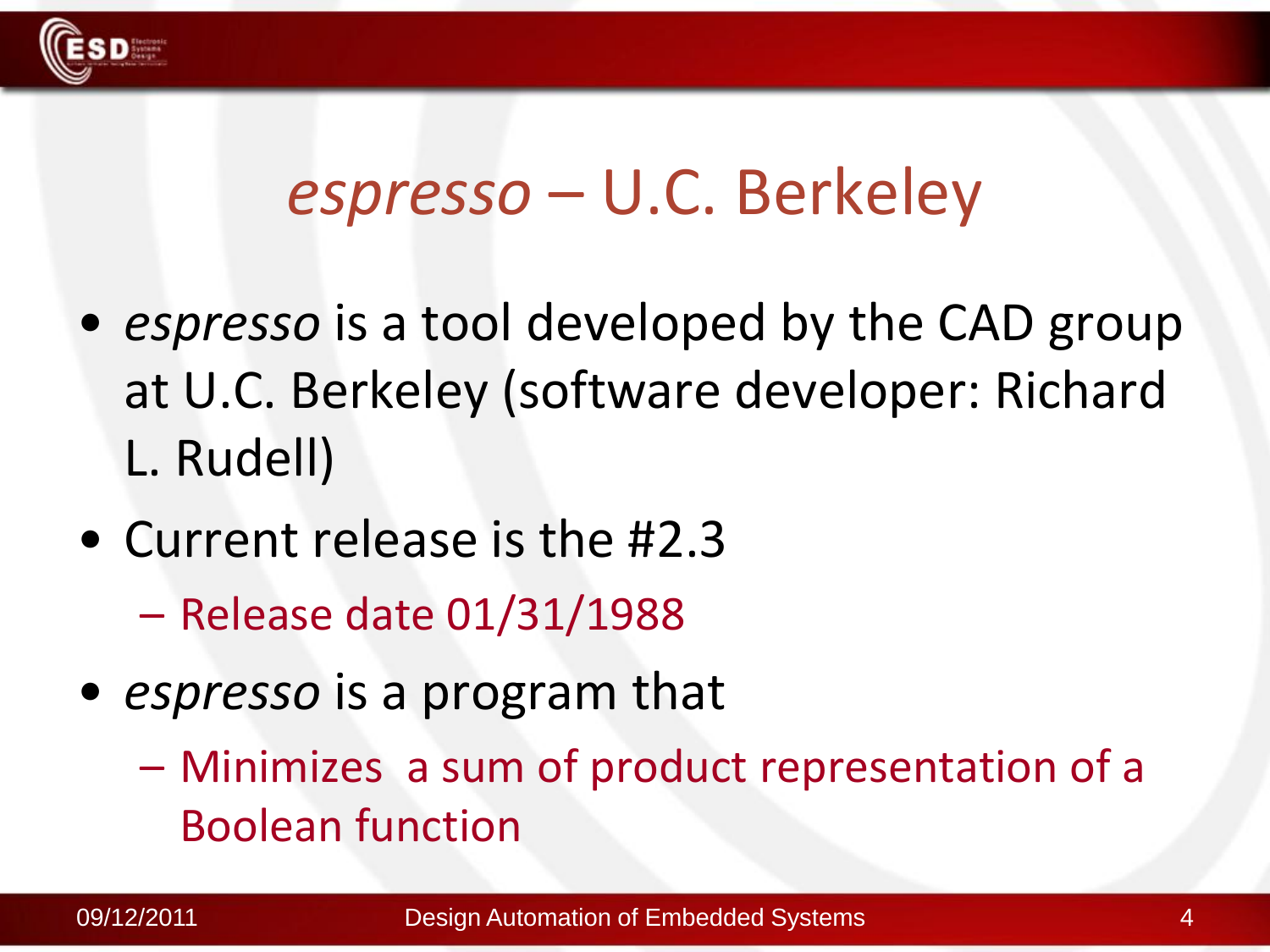

### *espresso* – U.C. Berkeley

- *espresso* is a tool developed by the CAD group at U.C. Berkeley (software developer: Richard L. Rudell)
- Current release is the #2.3
	- Release date 01/31/1988
- *espresso* is a program that
	- Minimizes a sum of product representation of a Boolean function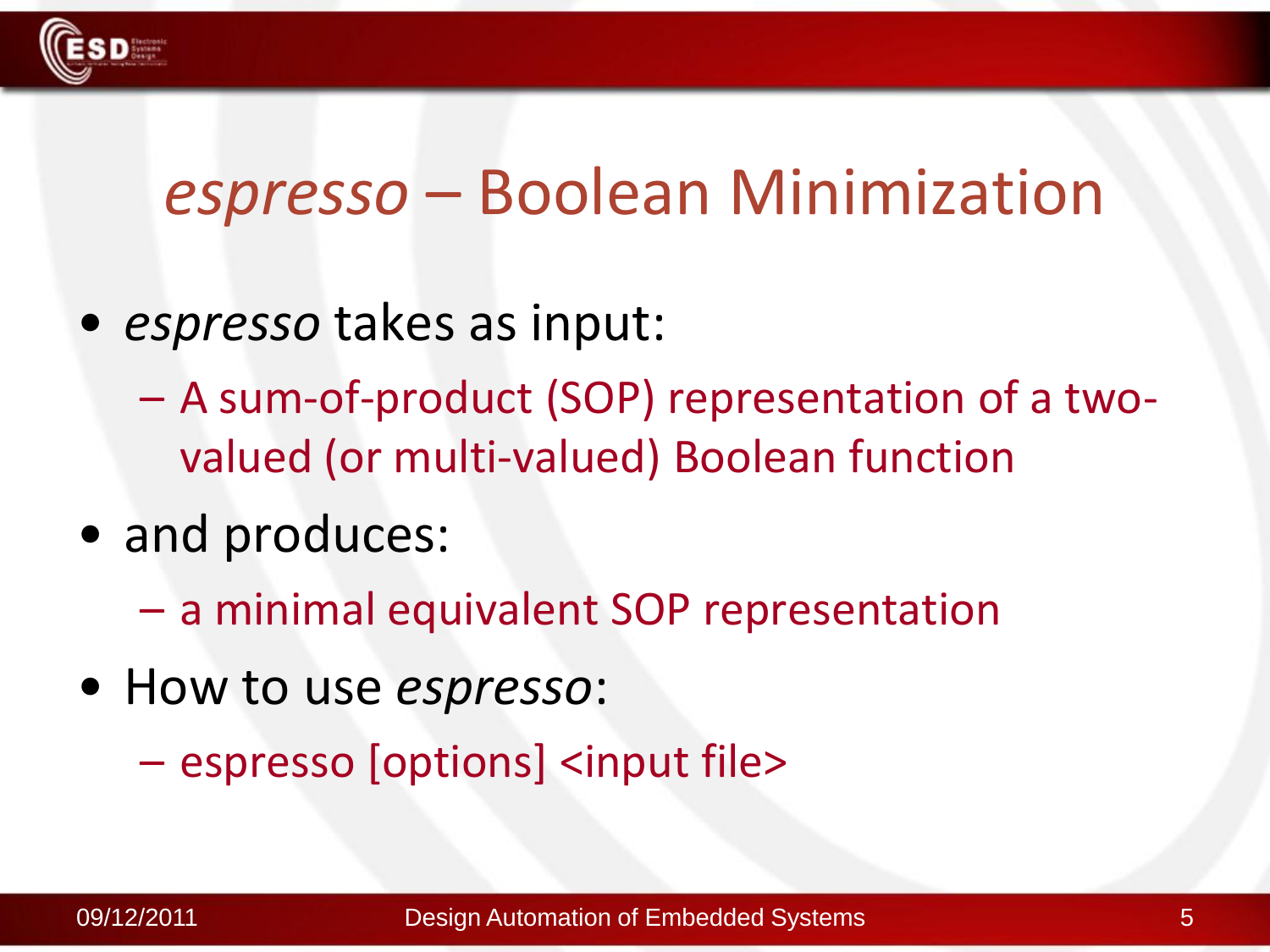

### *espresso* – Boolean Minimization

- *espresso* takes as input:
	- A sum-of-product (SOP) representation of a twovalued (or multi-valued) Boolean function
- and produces:
	- a minimal equivalent SOP representation
- How to use *espresso*:

– espresso [options] <input file>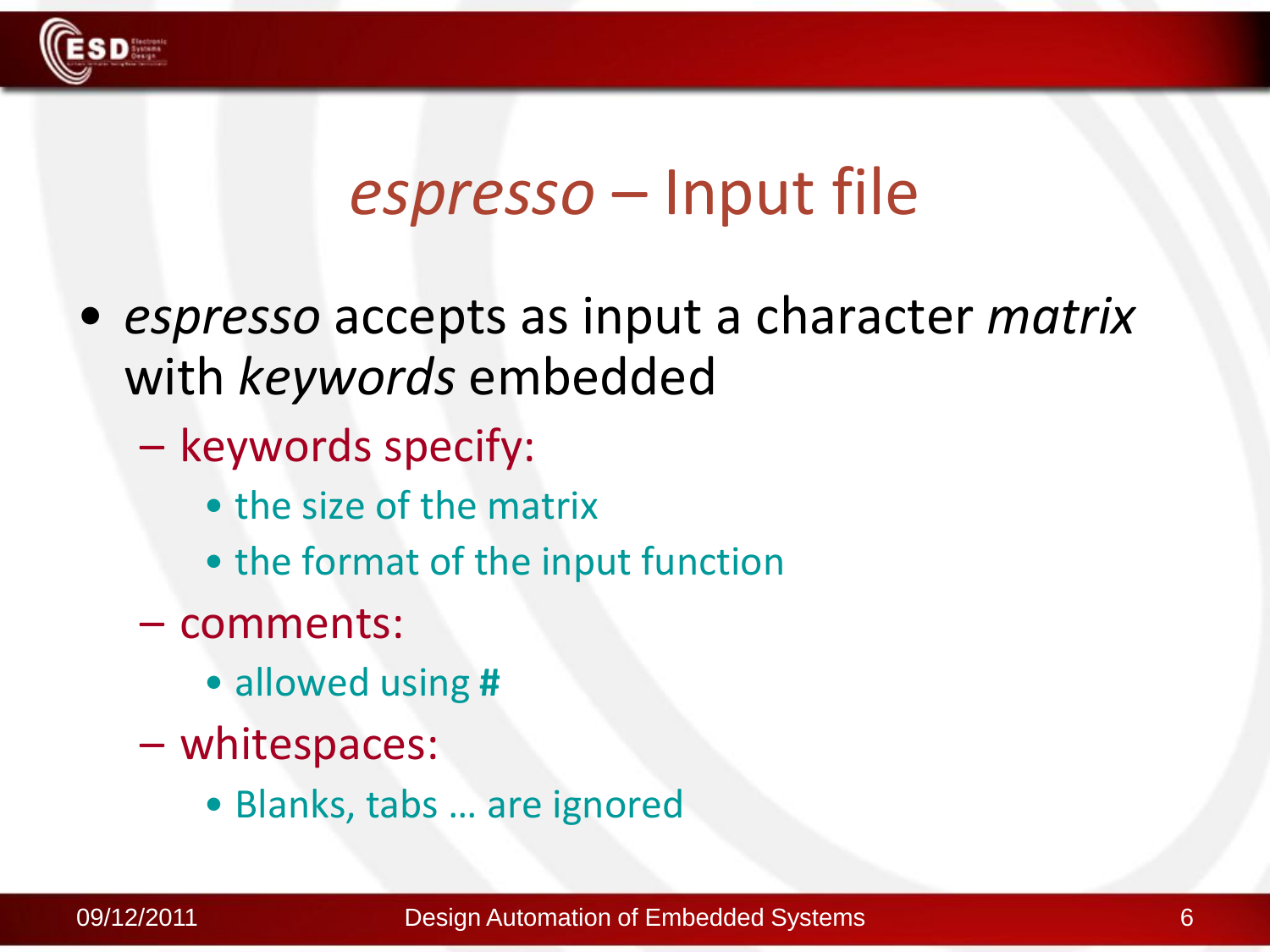

### *espresso* – Input file

- *espresso* accepts as input a character *matrix* with *keywords* embedded
	- keywords specify:
		- the size of the matrix
		- the format of the input function
	- comments:
		- allowed using **#**
	- whitespaces:
		- Blanks, tabs … are ignored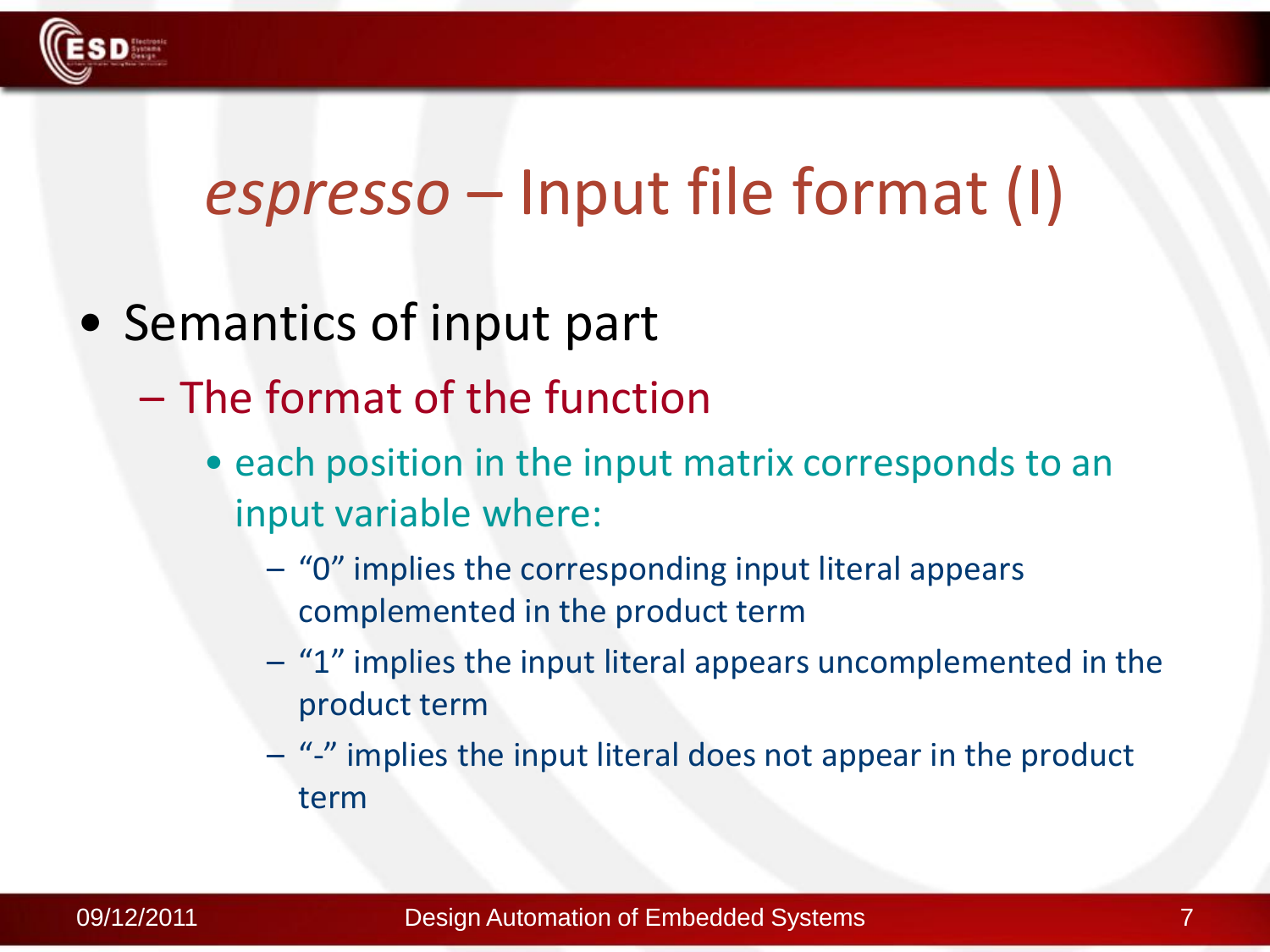

### *espresso* – Input file format (I)

- Semantics of input part
	- The format of the function
		- each position in the input matrix corresponds to an input variable where:
			- "0" implies the corresponding input literal appears complemented in the product term
			- "1" implies the input literal appears uncomplemented in the product term
			- "-" implies the input literal does not appear in the product term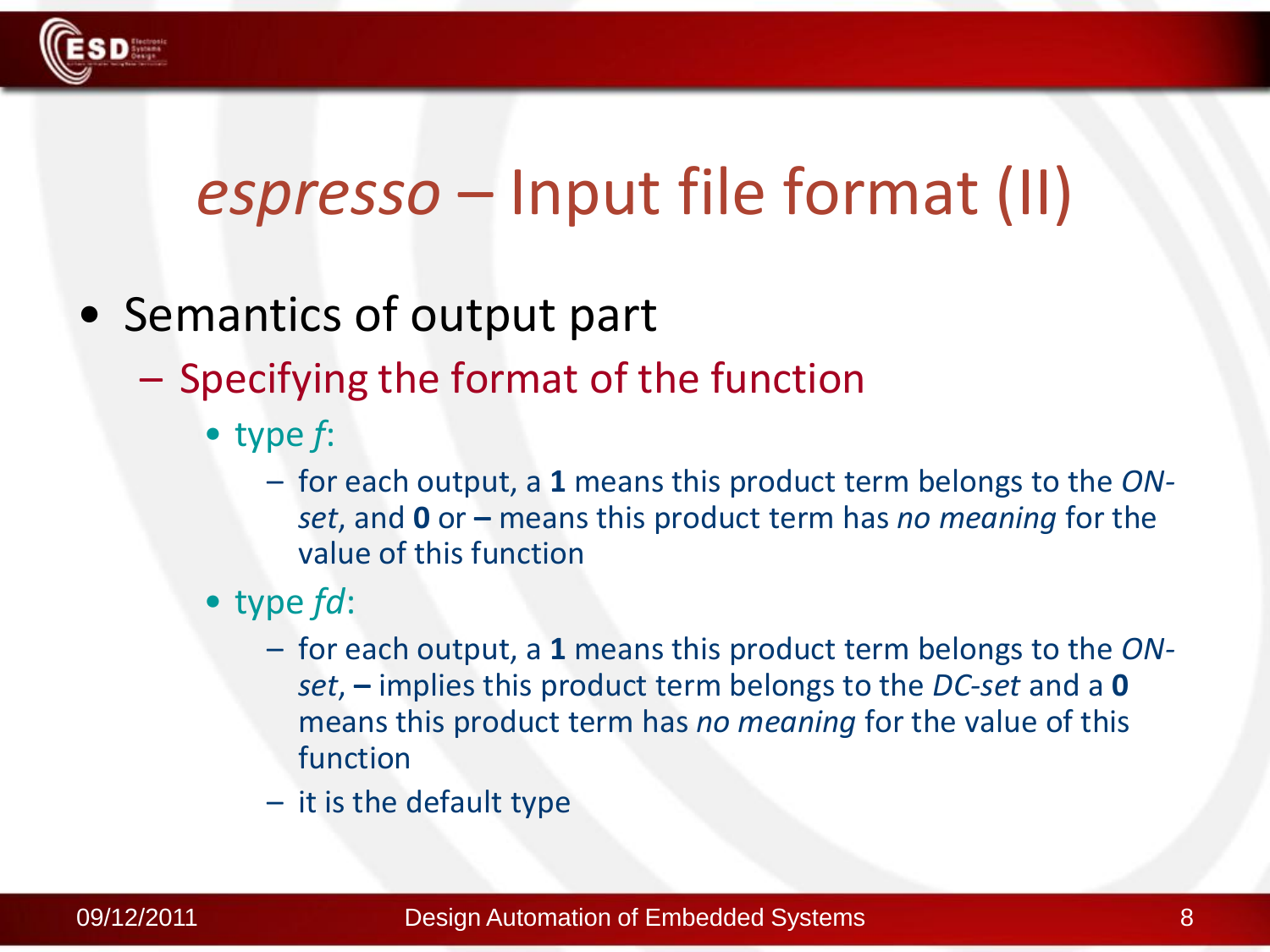

### *espresso* – Input file format (II)

- Semantics of output part
	- Specifying the format of the function
		- type *f*:
			- for each output, a **1** means this product term belongs to the *ONset*, and **0** or **–** means this product term has *no meaning* for the value of this function
		- type *fd*:
			- for each output, a **1** means this product term belongs to the *ONset*, **–** implies this product term belongs to the *DC-set* and a **0** means this product term has *no meaning* for the value of this function
			- it is the default type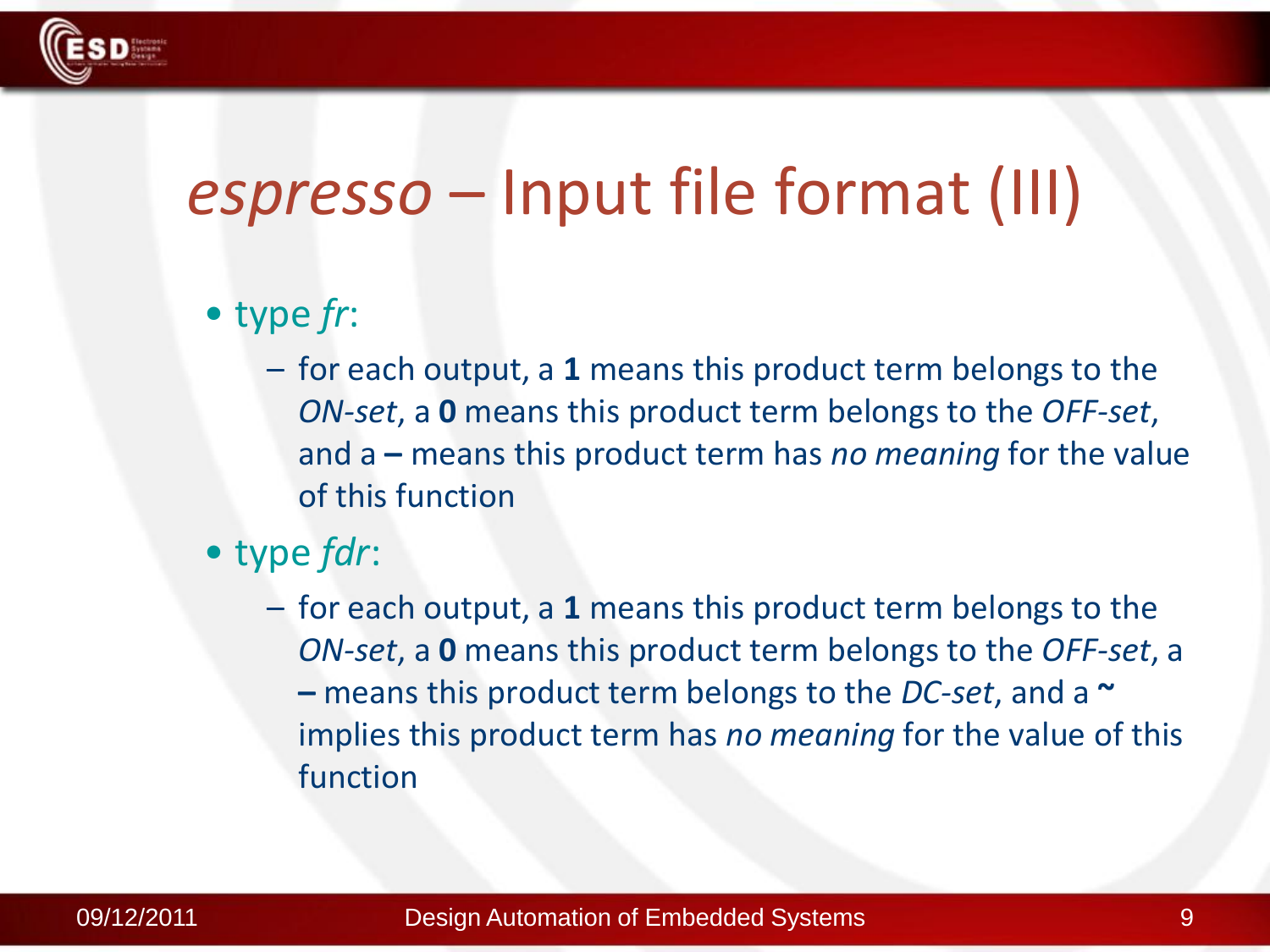

### *espresso* – Input file format (III)

#### • type *fr*:

- for each output, a **1** means this product term belongs to the *ON-set*, a **0** means this product term belongs to the *OFF-set*, and a **–** means this product term has *no meaning* for the value of this function
- type *fdr*:
	- for each output, a **1** means this product term belongs to the *ON-set*, a **0** means this product term belongs to the *OFF-set*, a **–** means this product term belongs to the *DC-set*, and a **~** implies this product term has *no meaning* for the value of this function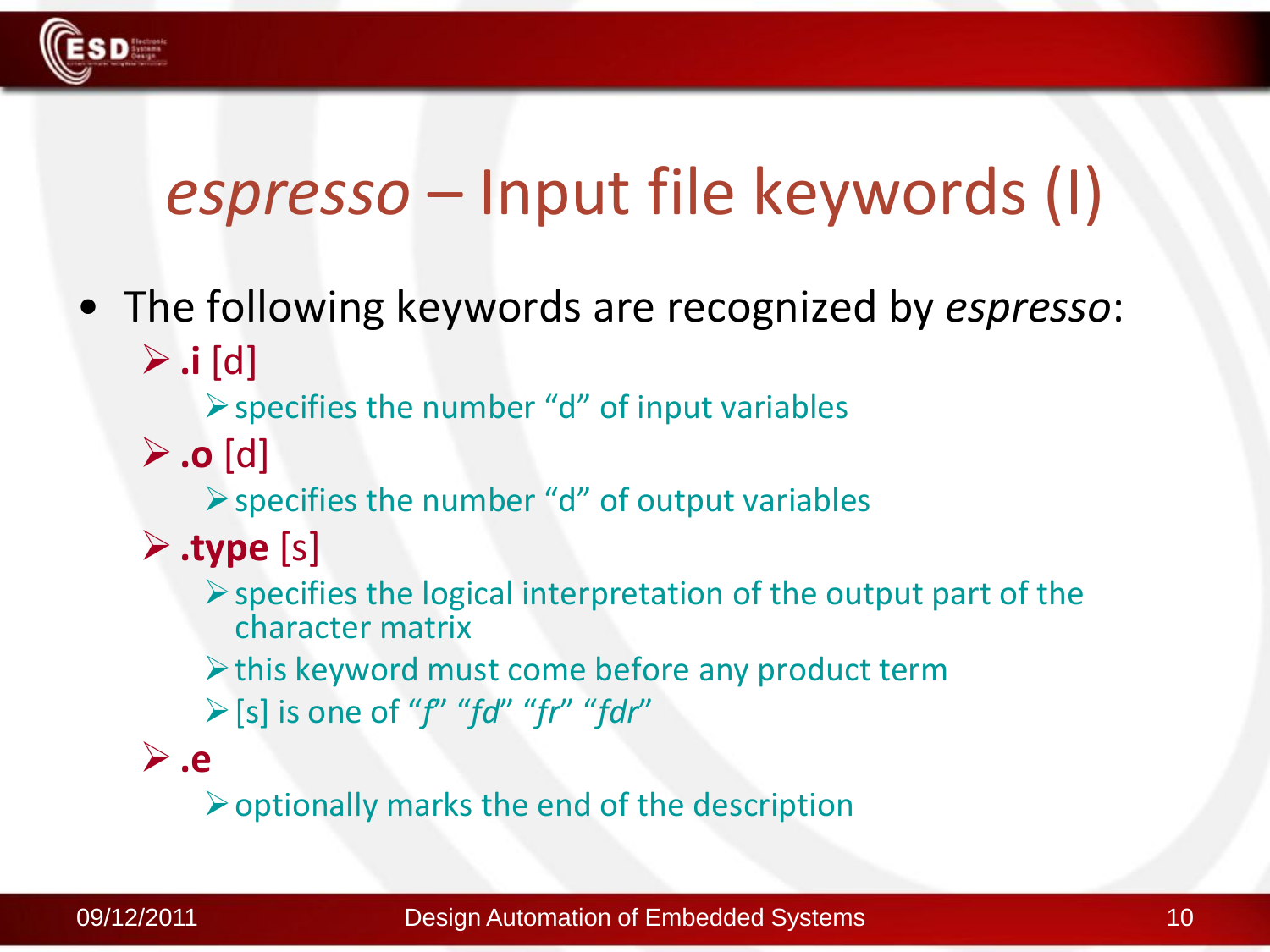

### *espresso* – Input file keywords (I)

• The following keywords are recognized by *espresso*:  $\triangleright$  **.i** [d]

 $\triangleright$  specifies the number "d" of input variables

**.o** [d]

 $\triangleright$  specifies the number "d" of output variables

- **.type** [s]
	- $\triangleright$  specifies the logical interpretation of the output part of the character matrix
	- $\triangleright$  this keyword must come before any product term
	- [s] is one of "*f*" "*fd*" "*fr*" "*fdr*"
- **.e**

 $\triangleright$  optionally marks the end of the description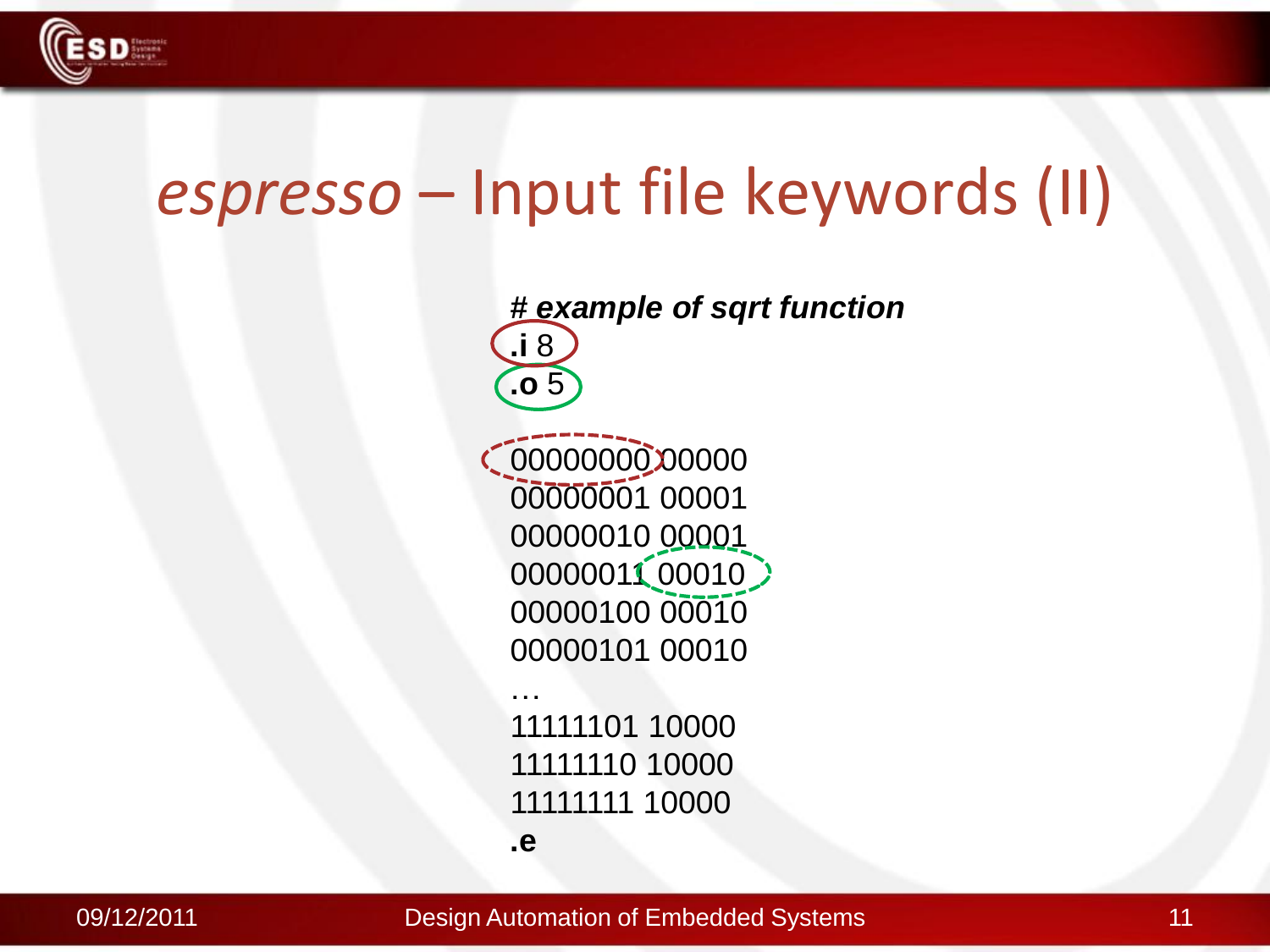

### *espresso* – Input file keywords (II)

**.e**

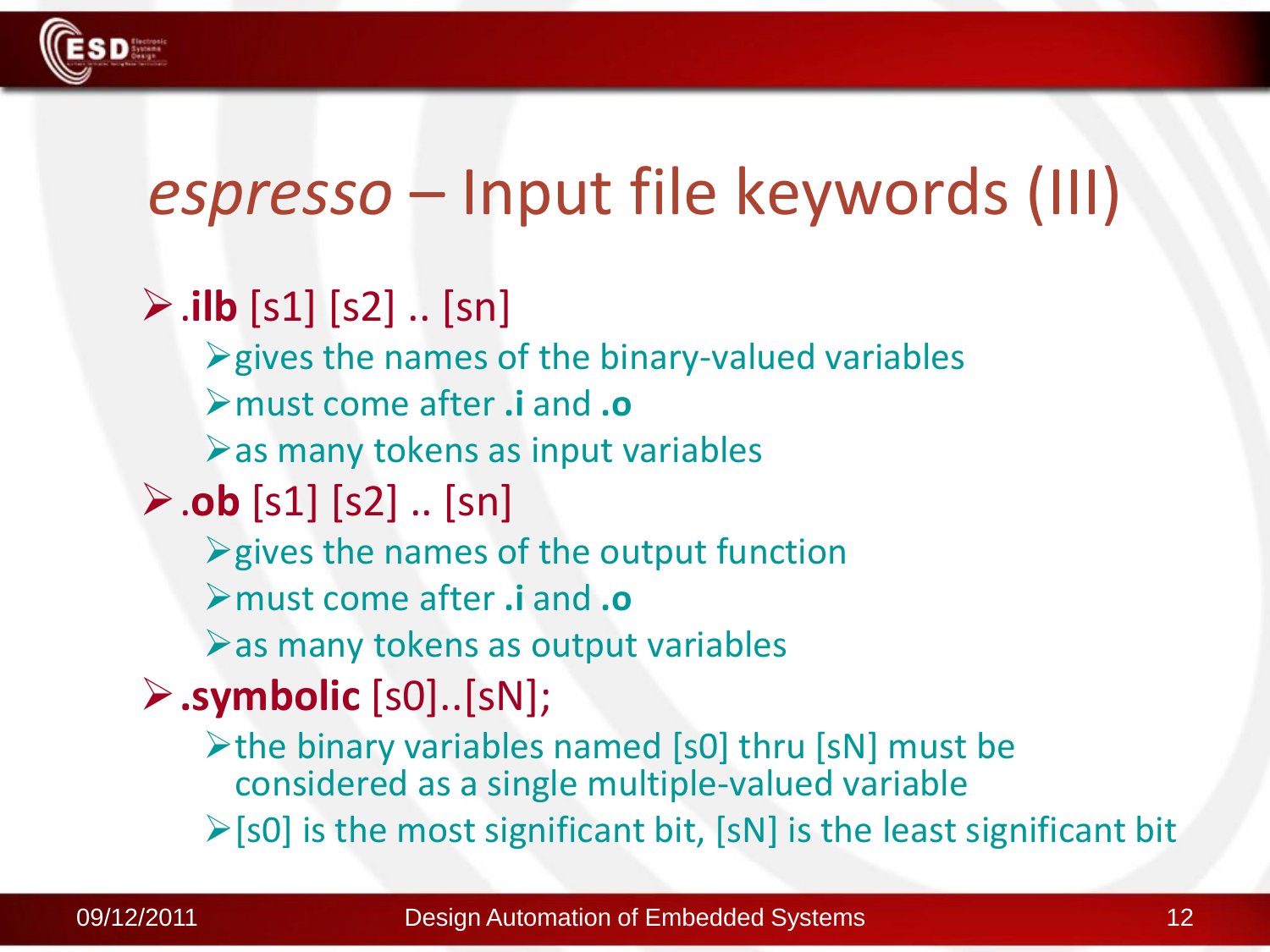

### *espresso* – Input file keywords (III)

### $\triangleright$  .**ilb** [s1] [s2] .. [sn]

- $\triangleright$  gives the names of the binary-valued variables
- must come after **.i** and **.o**
- $\triangleright$  as many tokens as input variables
- .**ob** [s1] [s2] .. [sn]
	- $\triangleright$  gives the names of the output function
	- must come after **.i** and **.o**
	- $\triangleright$  as many tokens as output variables

### **.symbolic** [s0]..[sN];

- $\triangleright$  the binary variables named [s0] thru [sN] must be considered as a single multiple-valued variable
- $\triangleright$  [s0] is the most significant bit, [sN] is the least significant bit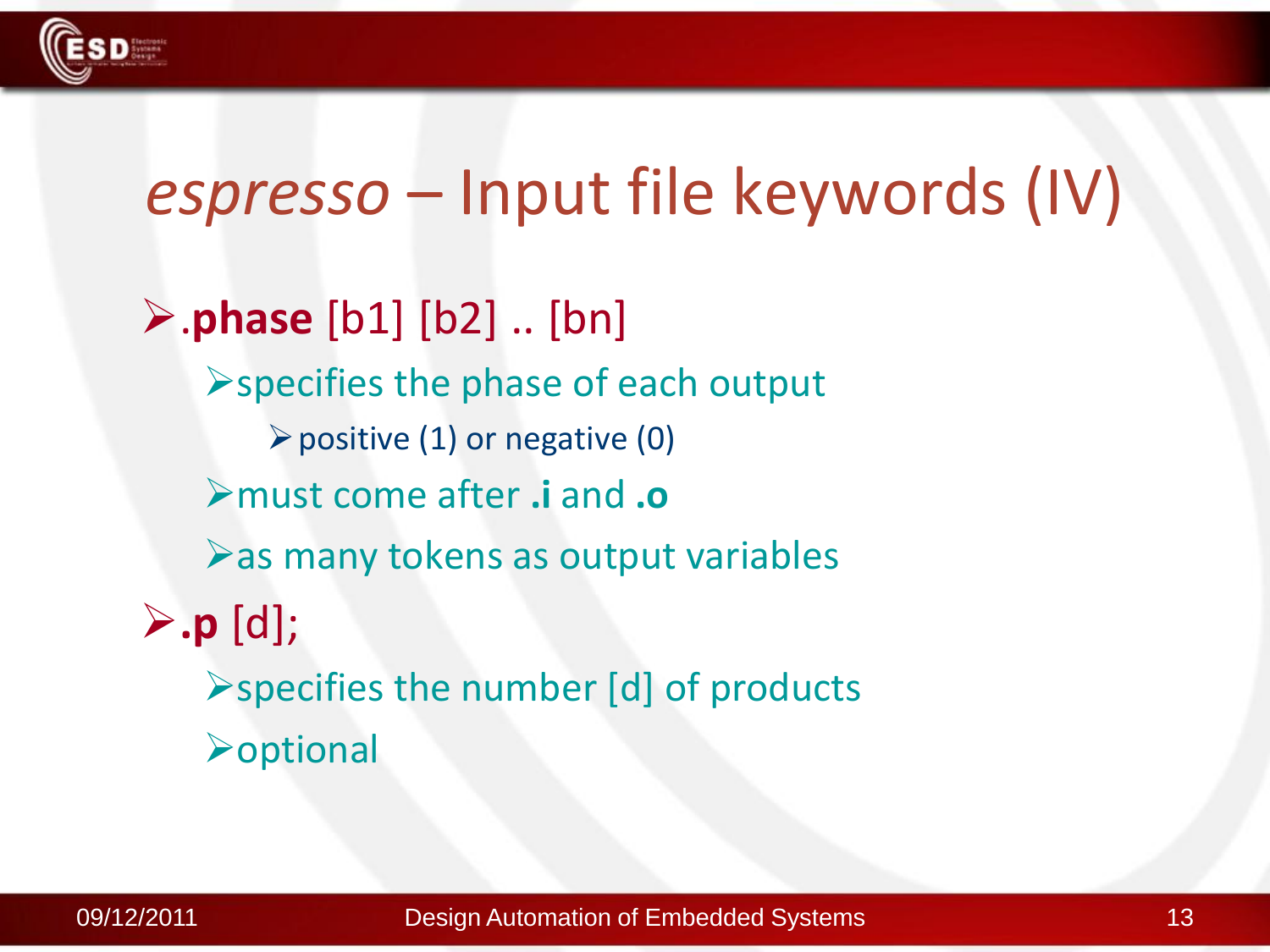

### *espresso* – Input file keywords (IV)

.**phase** [b1] [b2] .. [bn]  $\triangleright$  specifies the phase of each output  $\triangleright$  positive (1) or negative (0) must come after **.i** and **.o**  $\triangleright$  as many tokens as output variables **.p** [d]; specifies the number [d] of products  $\rho$ optional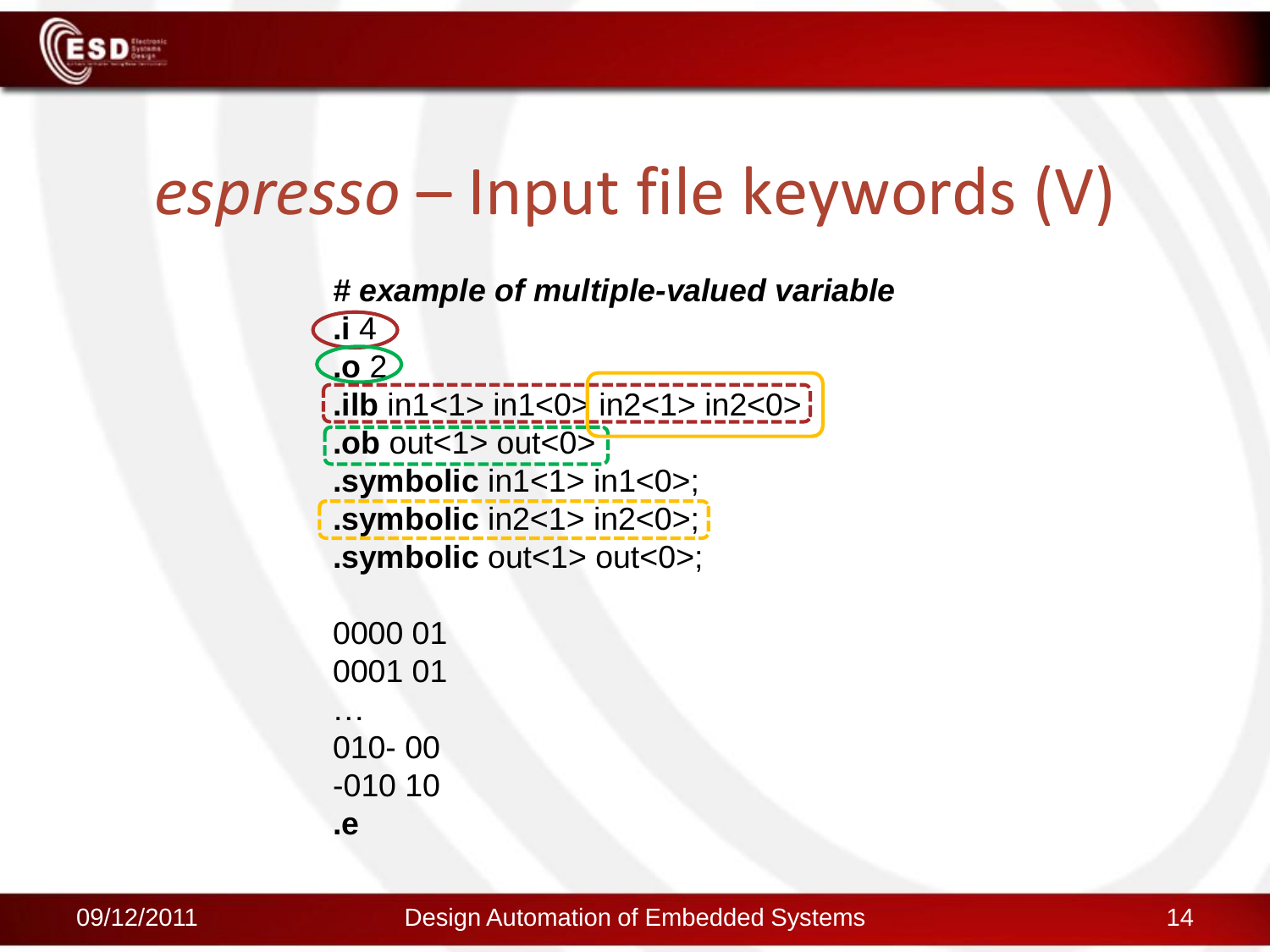

### *espresso* – Input file keywords (V)



**.e**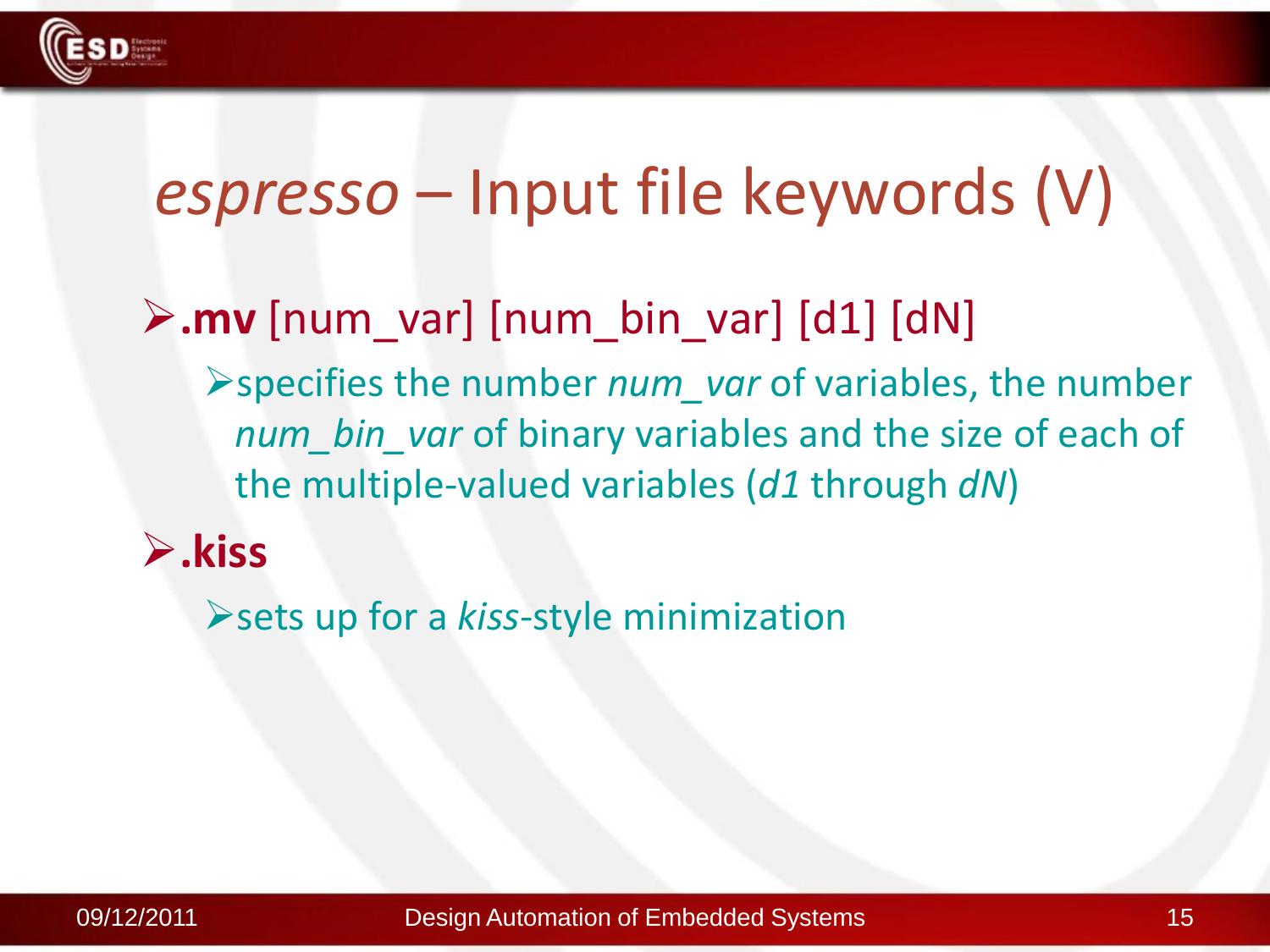

### *espresso* – Input file keywords (V)

### **.mv** [num\_var] [num\_bin\_var] [d1] [dN]

specifies the number *num\_var* of variables, the number *num\_bin\_var* of binary variables and the size of each of the multiple-valued variables (*d1* through *dN*)

#### **.kiss**

sets up for a *kiss*-style minimization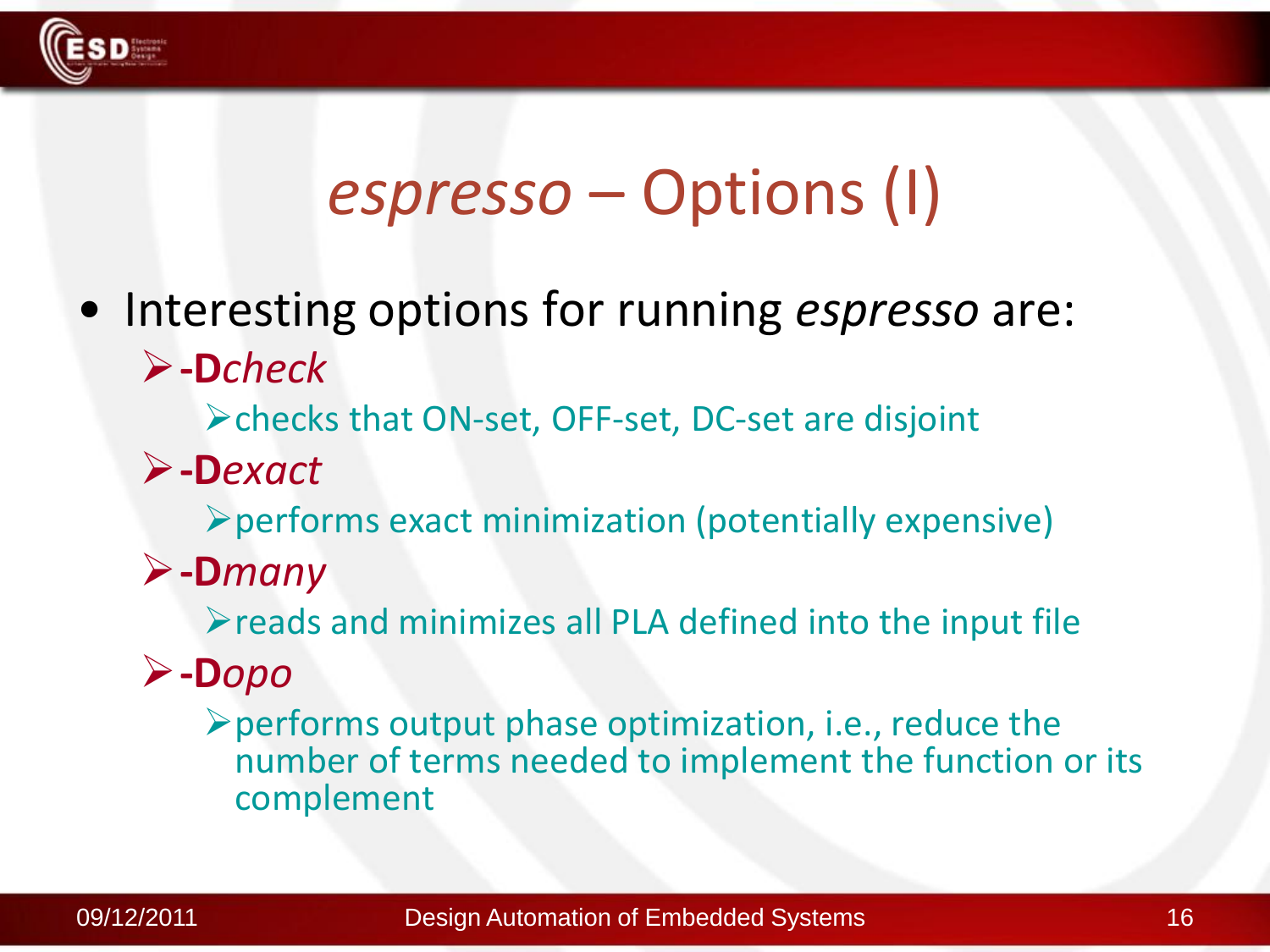

### *espresso* – Options (I)

• Interesting options for running *espresso* are: **-D***check*

checks that ON-set, OFF-set, DC-set are disjoint

**-D***exact*

performs exact minimization (potentially expensive)

**-D***many*

 $\triangleright$  reads and minimizes all PLA defined into the input file

### **-D***opo*

 $\triangleright$  performs output phase optimization, i.e., reduce the number of terms needed to implement the function or its complement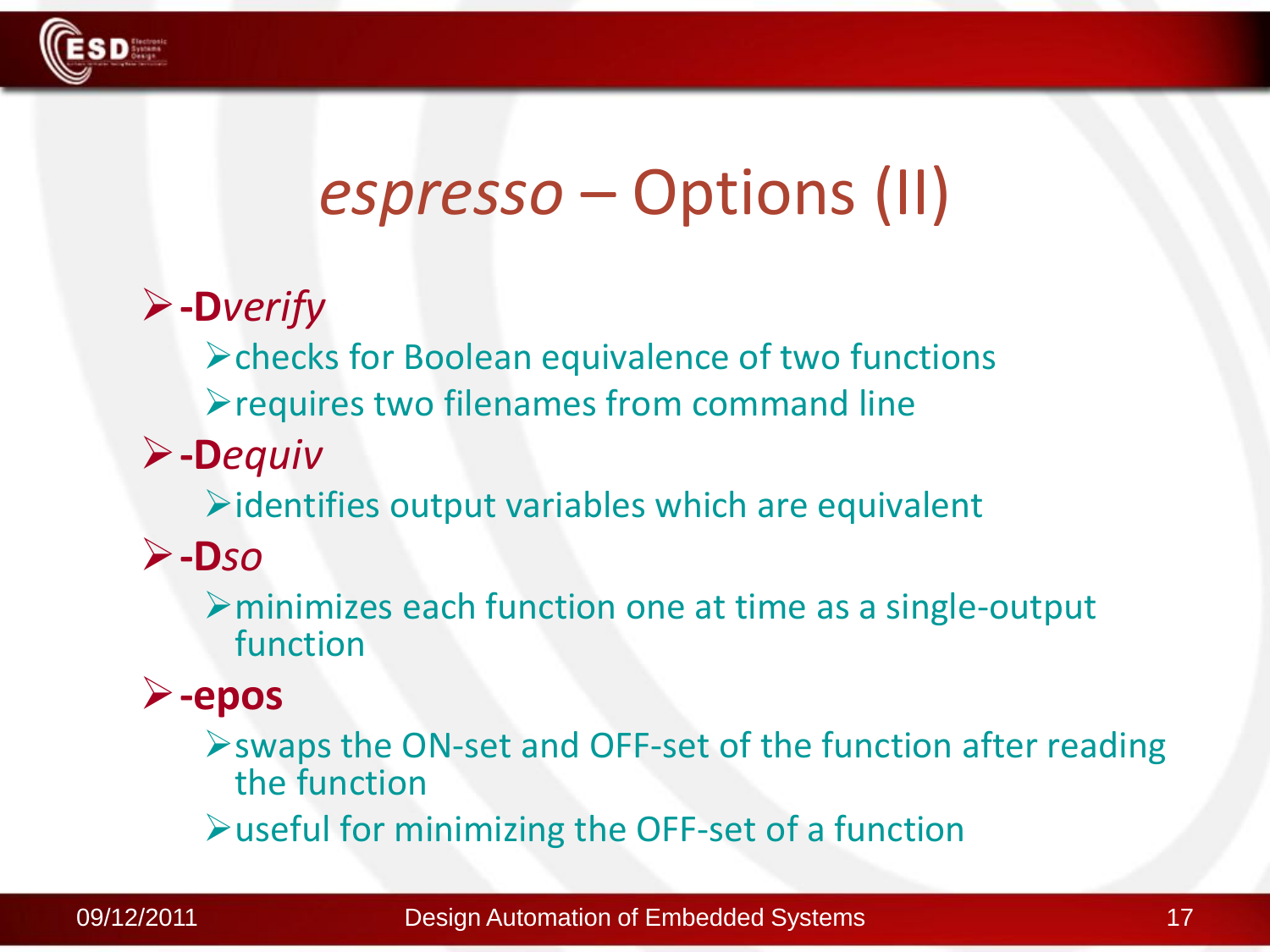

### *espresso* – Options (II)

### **-D***verify*

checks for Boolean equivalence of two functions

 $\blacktriangleright$  requires two filenames from command line

**-D***equiv*

 $\triangleright$  identifies output variables which are equivalent

#### **-D***so*

minimizes each function one at time as a single-output function

### **-epos**

swaps the ON-set and OFF-set of the function after reading the function

useful for minimizing the OFF-set of a function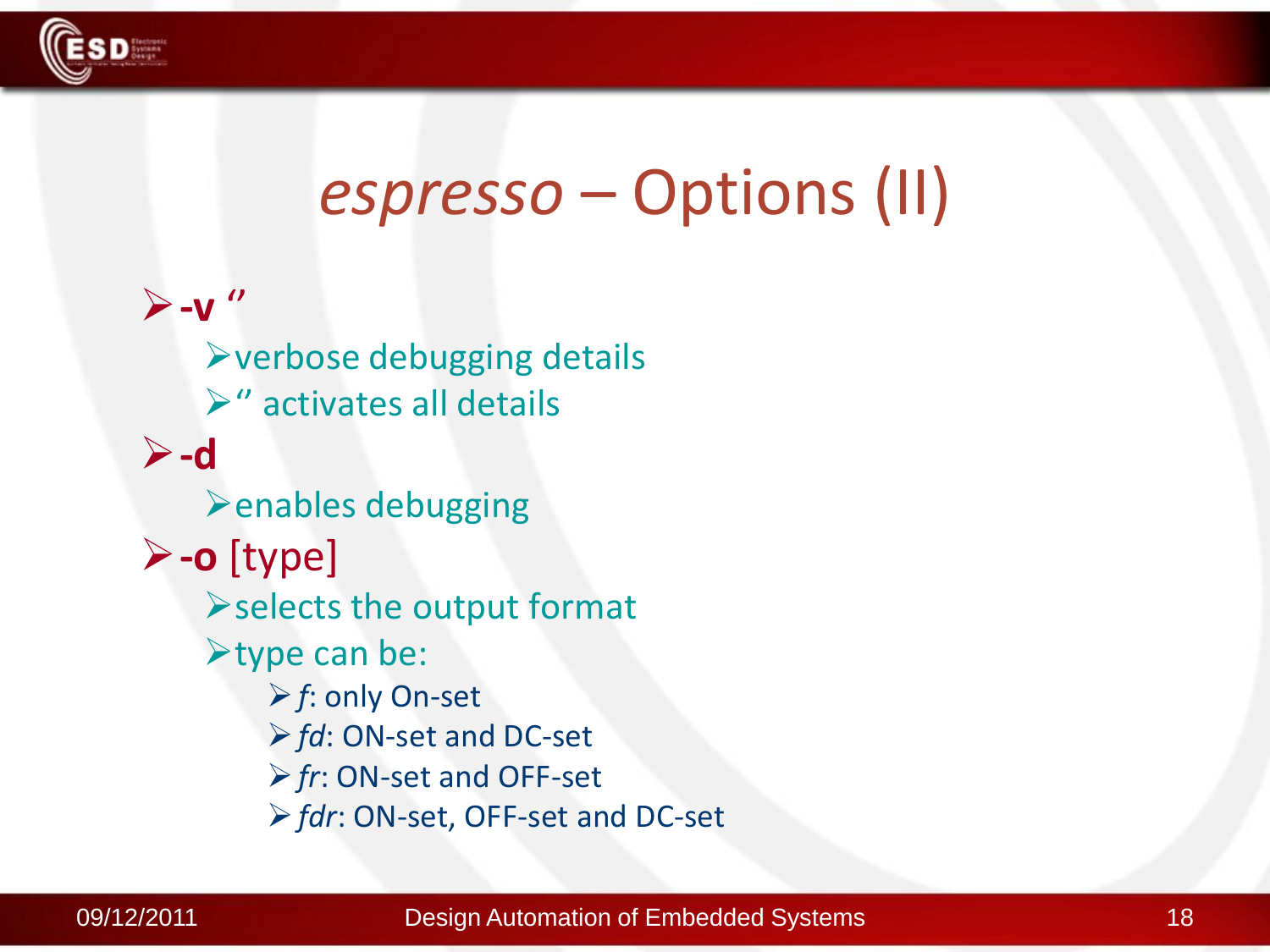

### *espresso* – Options (II)

**-v** '' verbose debugging details  $\triangleright$ " activates all details **-d**  $\triangleright$  enables debugging **-o** [type]  $\triangleright$  selects the output format  $\blacktriangleright$  type can be: *f*: only On-set *fd*: ON-set and DC-set *fr*: ON-set and OFF-set *fdr*: ON-set, OFF-set and DC-set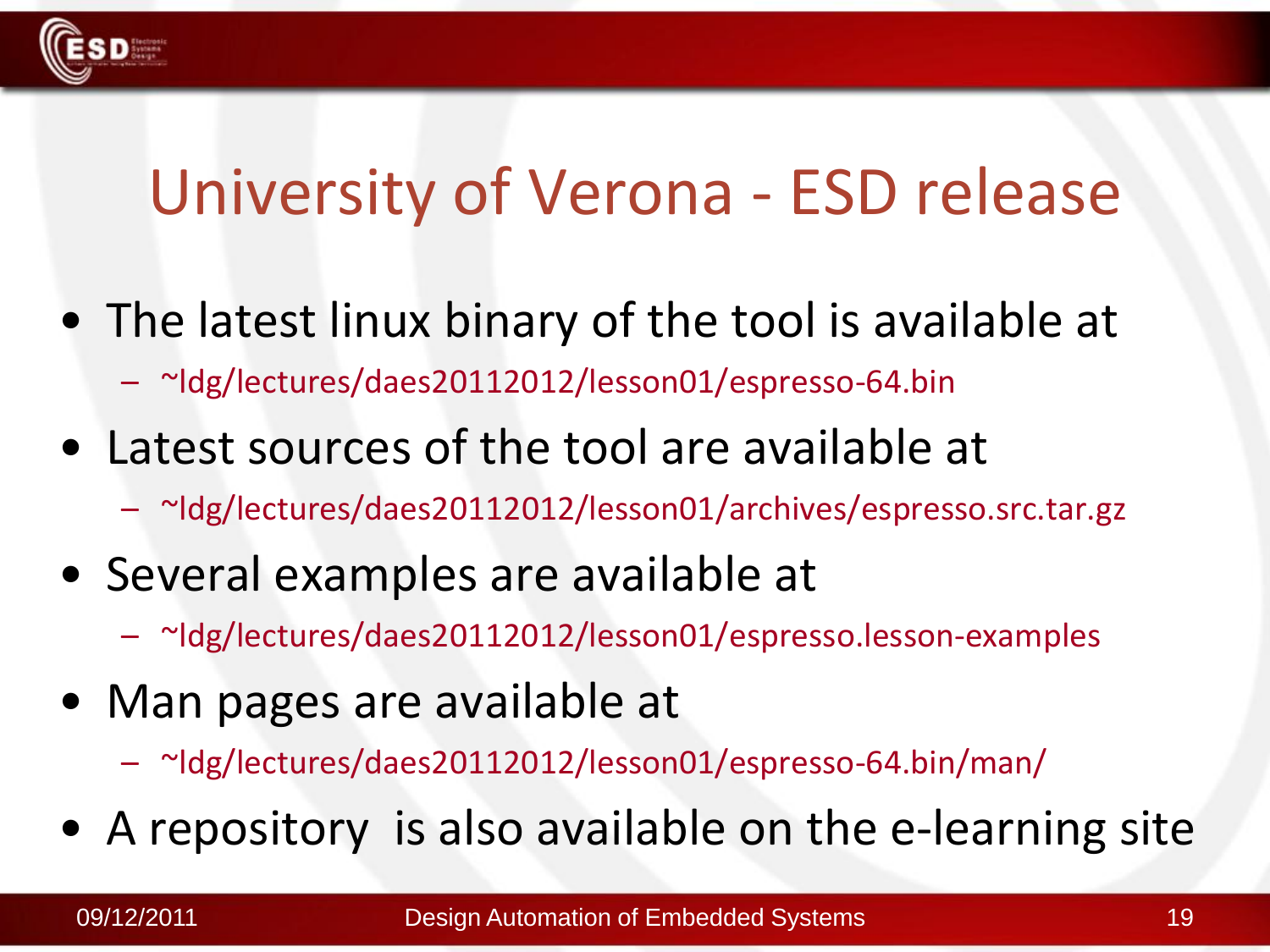### University of Verona - ESD release

- The latest linux binary of the tool is available at – ~ldg/lectures/daes20112012/lesson01/espresso-64.bin
- Latest sources of the tool are available at
	- ~ldg/lectures/daes20112012/lesson01/archives/espresso.src.tar.gz
- Several examples are available at
	- ~ldg/lectures/daes20112012/lesson01/espresso.lesson-examples
- Man pages are available at
	- ~ldg/lectures/daes20112012/lesson01/espresso-64.bin/man/
- A repository is also available on the e-learning site

**D** System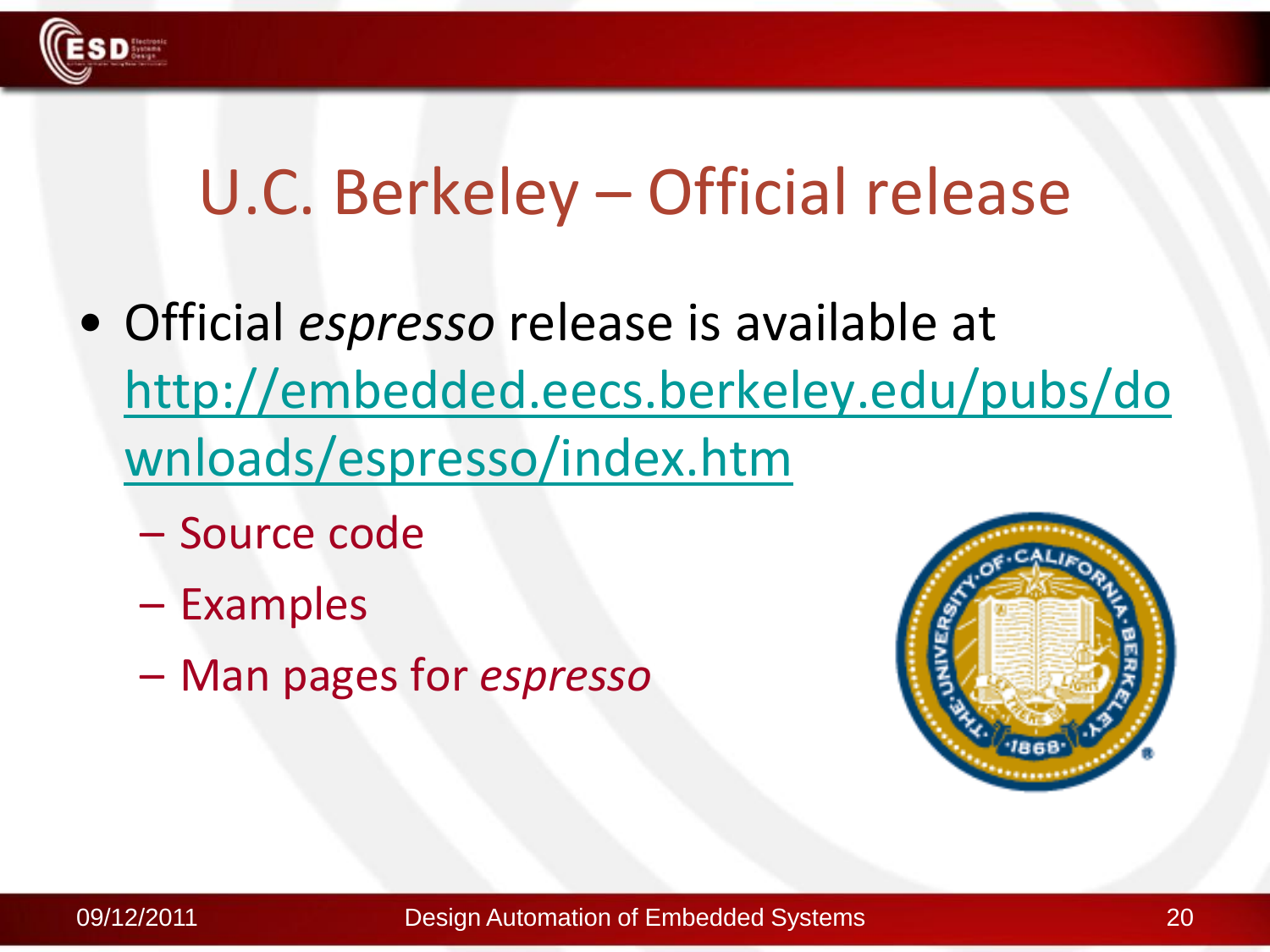

### U.C. Berkeley – Official release

- Official *espresso* release is available at [http://embedded.eecs.berkeley.edu/pubs/do](http://embedded.eecs.berkeley.edu/pubs/downloads/espresso/index.htm) [wnloads/espresso/index.htm](http://embedded.eecs.berkeley.edu/pubs/downloads/espresso/index.htm)
	- Source code
	- Examples
	- Man pages for *espresso*

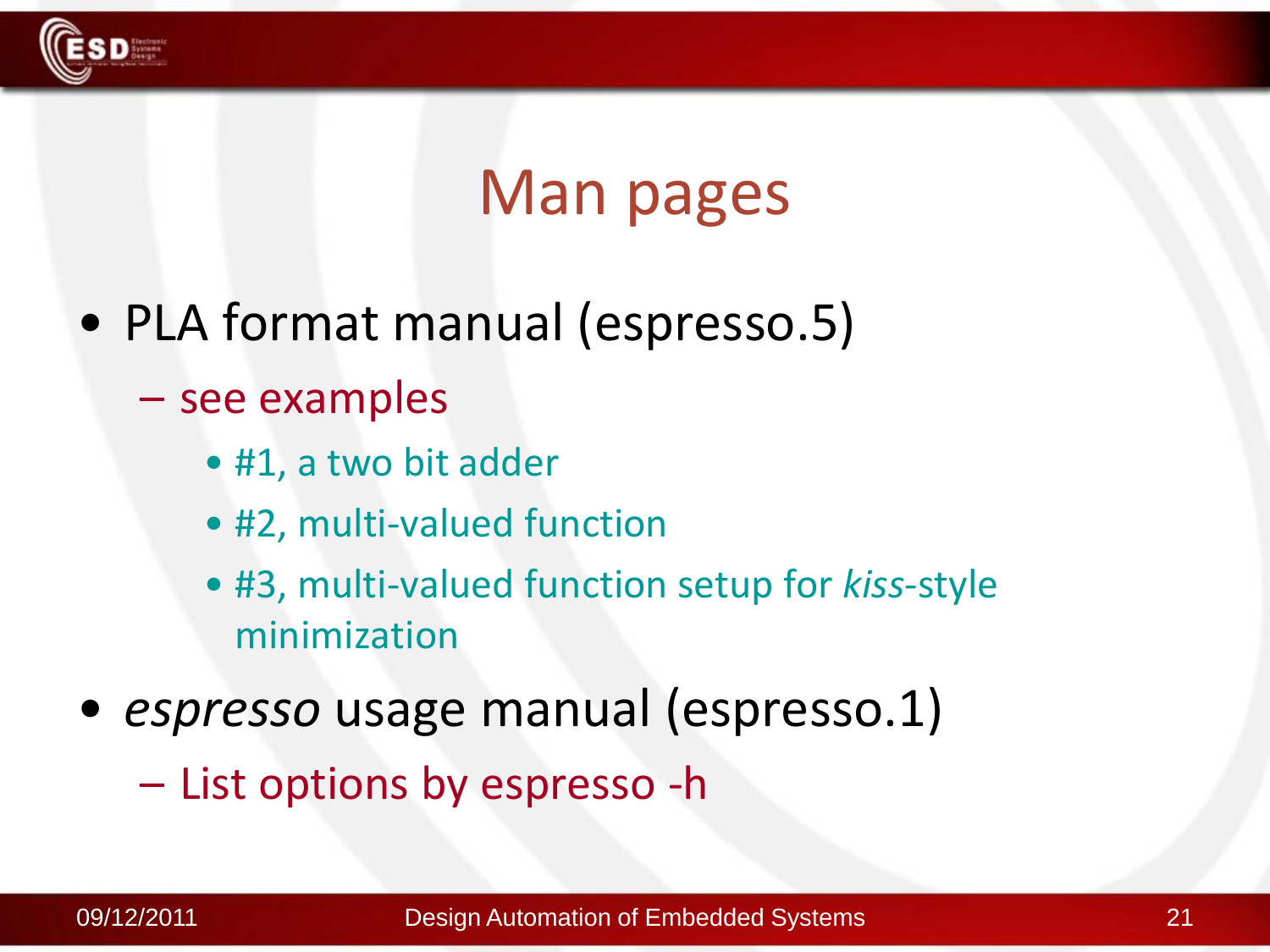

### Man pages

- PLA format manual (espresso.5)
	- see examples
		- #1, a two bit adder
		- #2, multi-valued function
		- #3, multi-valued function setup for *kiss*-style minimization
- *espresso* usage manual (espresso.1)
	- List options by espresso -h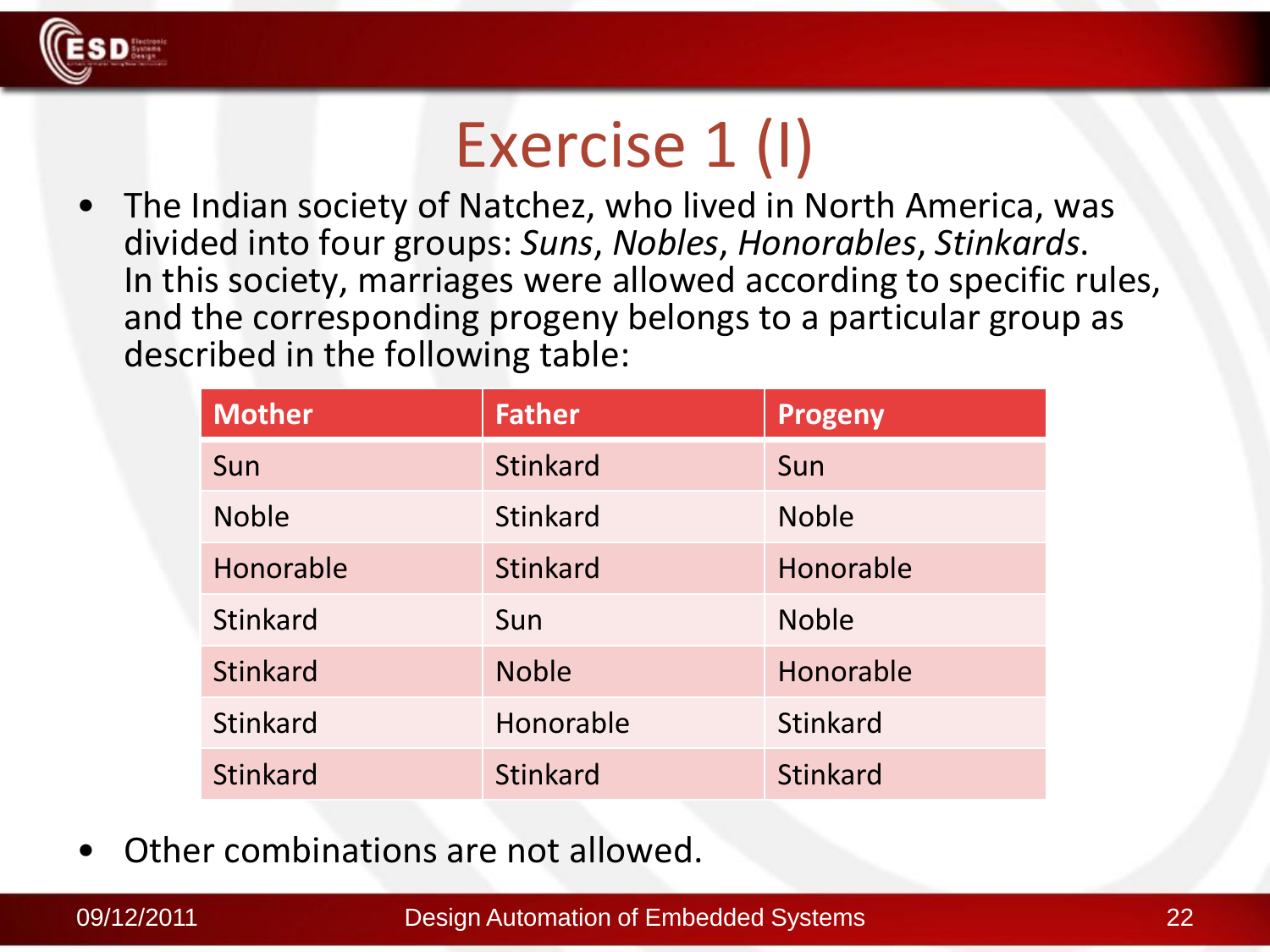

## Exercise 1 (I)

• The Indian society of Natchez, who lived in North America, was divided into four groups: *Suns*, *Nobles*, *Honorables*, *Stinkards*. In this society, marriages were allowed according to specific rules, and the corresponding progeny belongs to a particular group as described in the following table:

| <b>Mother</b>   | <b>Father</b>   | Progeny         |
|-----------------|-----------------|-----------------|
| Sun             | <b>Stinkard</b> | Sun             |
| <b>Noble</b>    | <b>Stinkard</b> | <b>Noble</b>    |
| Honorable       | <b>Stinkard</b> | Honorable       |
| <b>Stinkard</b> | Sun             | <b>Noble</b>    |
| <b>Stinkard</b> | <b>Noble</b>    | Honorable       |
| <b>Stinkard</b> | Honorable       | <b>Stinkard</b> |
| <b>Stinkard</b> | <b>Stinkard</b> | <b>Stinkard</b> |

• Other combinations are not allowed.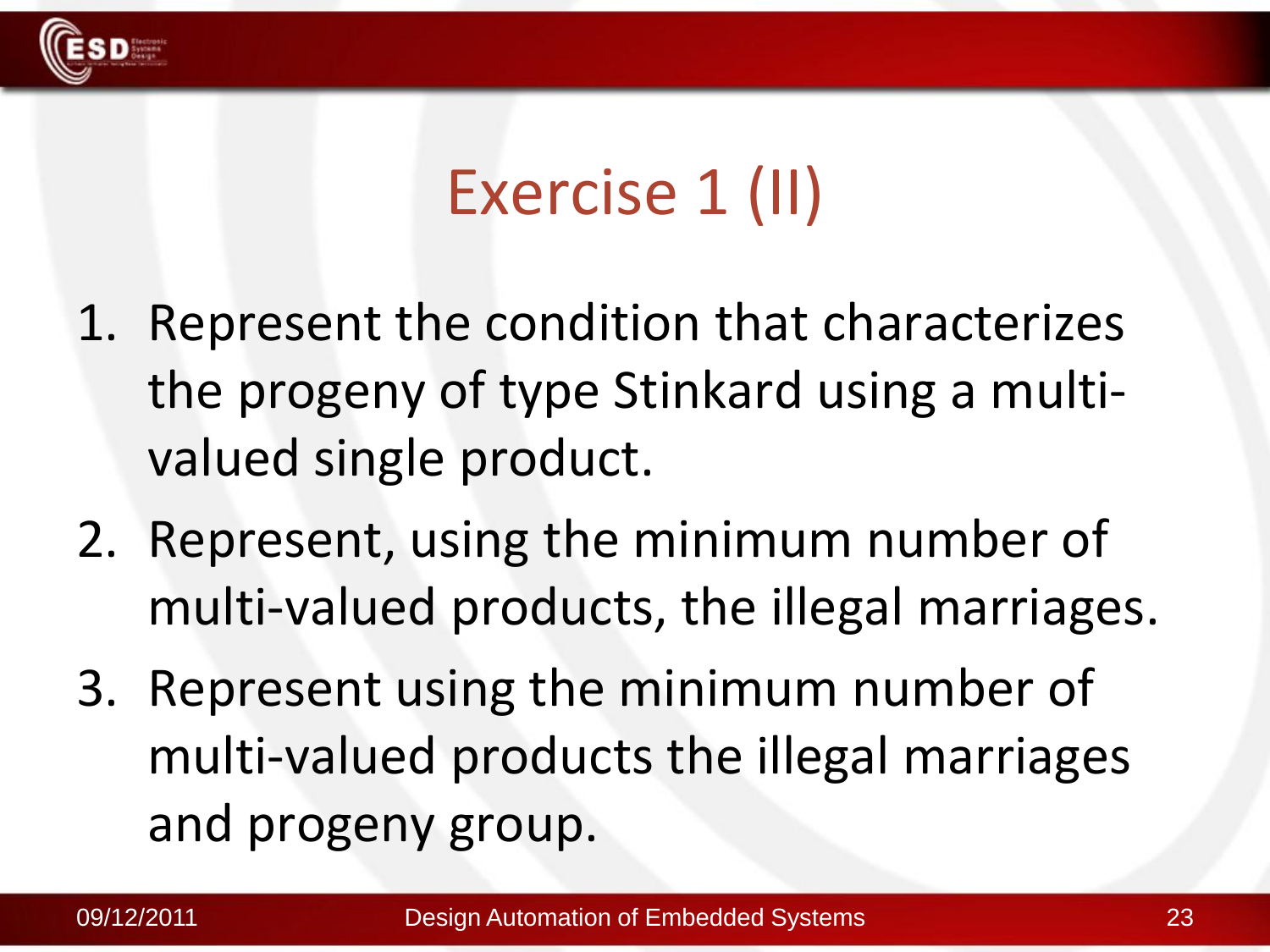

## Exercise 1 (II)

- 1. Represent the condition that characterizes the progeny of type Stinkard using a multivalued single product.
- 2. Represent, using the minimum number of multi-valued products, the illegal marriages.
- 3. Represent using the minimum number of multi-valued products the illegal marriages and progeny group.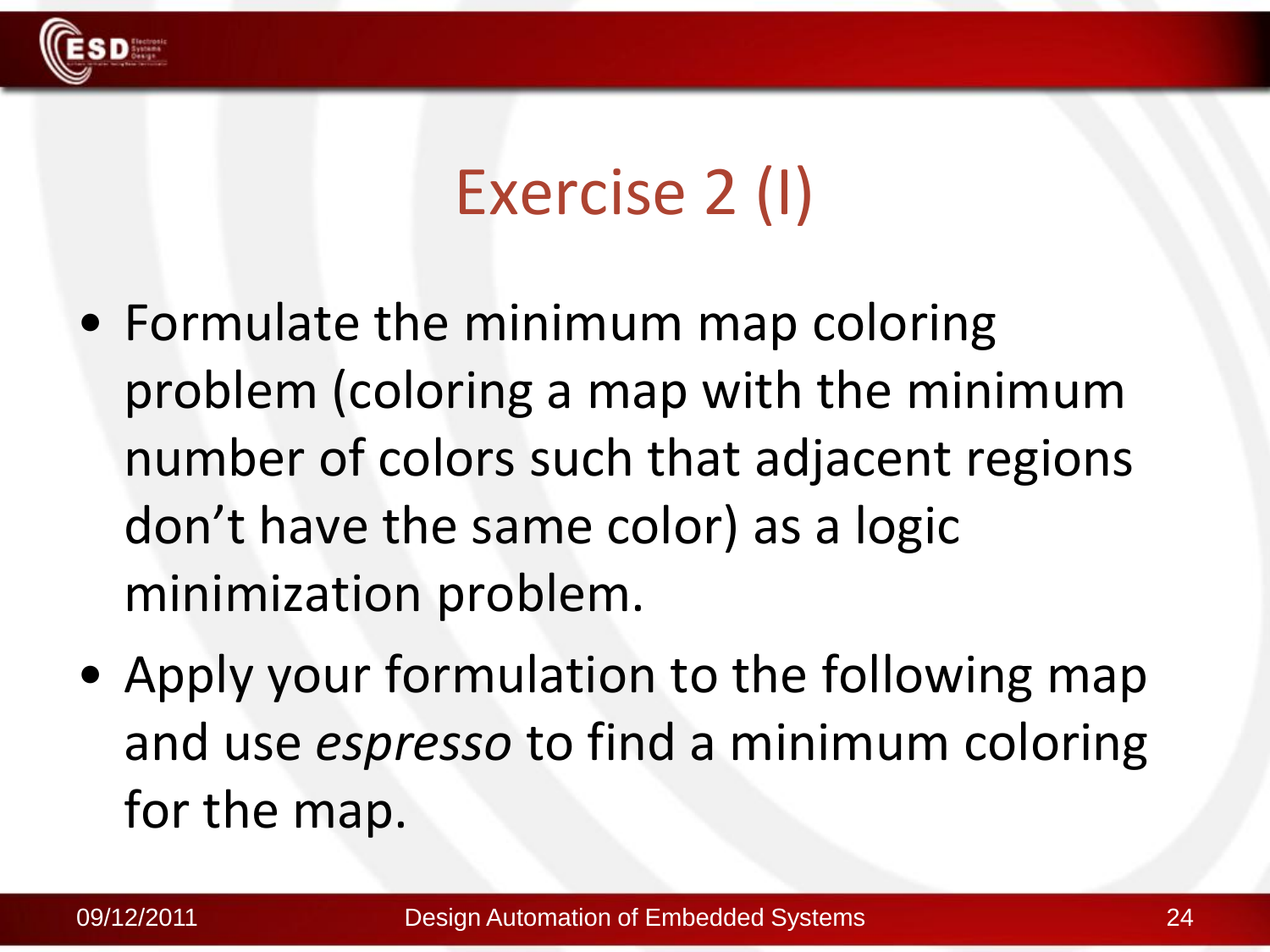

## Exercise 2 (I)

- Formulate the minimum map coloring problem (coloring a map with the minimum number of colors such that adjacent regions don't have the same color) as a logic minimization problem.
- Apply your formulation to the following map and use *espresso* to find a minimum coloring for the map.